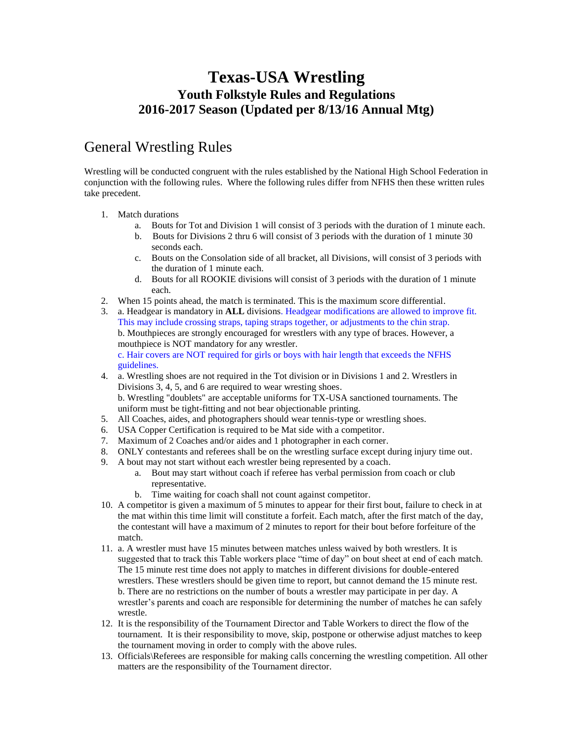# **Texas-USA Wrestling Youth Folkstyle Rules and Regulations 2016-2017 Season (Updated per 8/13/16 Annual Mtg)**

# General Wrestling Rules

Wrestling will be conducted congruent with the rules established by the National High School Federation in conjunction with the following rules. Where the following rules differ from NFHS then these written rules take precedent.

- 1. Match durations
	- a. Bouts for Tot and Division 1 will consist of 3 periods with the duration of 1 minute each.
	- b. Bouts for Divisions 2 thru 6 will consist of 3 periods with the duration of 1 minute 30 seconds each.
	- c. Bouts on the Consolation side of all bracket, all Divisions, will consist of 3 periods with the duration of 1 minute each.
	- d. Bouts for all ROOKIE divisions will consist of 3 periods with the duration of 1 minute each.
- 2. When 15 points ahead, the match is terminated. This is the maximum score differential.
- 3. a. Headgear is mandatory in **ALL** divisions. Headgear modifications are allowed to improve fit. This may include crossing straps, taping straps together, or adjustments to the chin strap. b. Mouthpieces are strongly encouraged for wrestlers with any type of braces. However, a mouthpiece is NOT mandatory for any wrestler.

c. Hair covers are NOT required for girls or boys with hair length that exceeds the NFHS guidelines.

- 4. a. Wrestling shoes are not required in the Tot division or in Divisions 1 and 2. Wrestlers in Divisions 3, 4, 5, and 6 are required to wear wresting shoes. b. Wrestling "doublets" are acceptable uniforms for TX-USA sanctioned tournaments. The uniform must be tight-fitting and not bear objectionable printing.
- 5. All Coaches, aides, and photographers should wear tennis-type or wrestling shoes.
- 6. USA Copper Certification is required to be Mat side with a competitor.
- 7. Maximum of 2 Coaches and/or aides and 1 photographer in each corner.
- 8. ONLY contestants and referees shall be on the wrestling surface except during injury time out.
- 9. A bout may not start without each wrestler being represented by a coach.
	- a. Bout may start without coach if referee has verbal permission from coach or club representative.
	- b. Time waiting for coach shall not count against competitor.
- 10. A competitor is given a maximum of 5 minutes to appear for their first bout, failure to check in at the mat within this time limit will constitute a forfeit. Each match, after the first match of the day, the contestant will have a maximum of 2 minutes to report for their bout before forfeiture of the match.
- 11. a. A wrestler must have 15 minutes between matches unless waived by both wrestlers. It is suggested that to track this Table workers place "time of day" on bout sheet at end of each match. The 15 minute rest time does not apply to matches in different divisions for double-entered wrestlers. These wrestlers should be given time to report, but cannot demand the 15 minute rest. b. There are no restrictions on the number of bouts a wrestler may participate in per day. A wrestler's parents and coach are responsible for determining the number of matches he can safely wrestle.
- 12. It is the responsibility of the Tournament Director and Table Workers to direct the flow of the tournament. It is their responsibility to move, skip, postpone or otherwise adjust matches to keep the tournament moving in order to comply with the above rules.
- 13. Officials\Referees are responsible for making calls concerning the wrestling competition. All other matters are the responsibility of the Tournament director.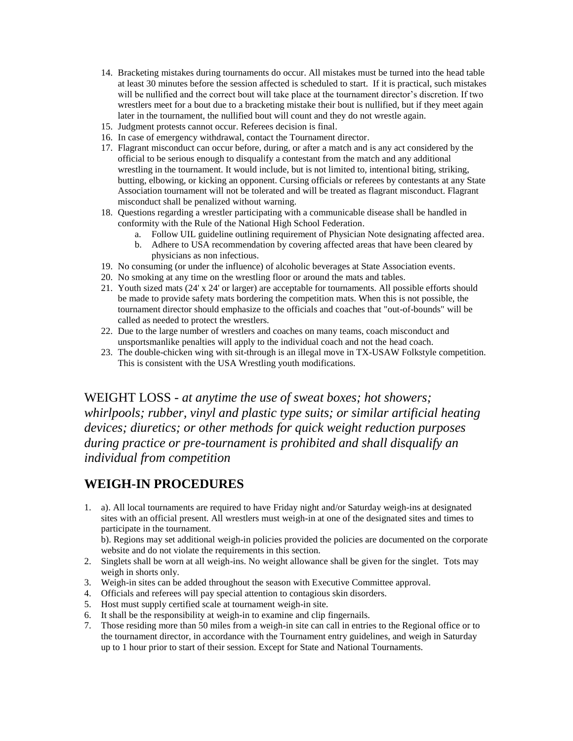- 14. Bracketing mistakes during tournaments do occur. All mistakes must be turned into the head table at least 30 minutes before the session affected is scheduled to start. If it is practical, such mistakes will be nullified and the correct bout will take place at the tournament director's discretion. If two wrestlers meet for a bout due to a bracketing mistake their bout is nullified, but if they meet again later in the tournament, the nullified bout will count and they do not wrestle again.
- 15. Judgment protests cannot occur. Referees decision is final.
- 16. In case of emergency withdrawal, contact the Tournament director.
- 17. Flagrant misconduct can occur before, during, or after a match and is any act considered by the official to be serious enough to disqualify a contestant from the match and any additional wrestling in the tournament. It would include, but is not limited to, intentional biting, striking, butting, elbowing, or kicking an opponent. Cursing officials or referees by contestants at any State Association tournament will not be tolerated and will be treated as flagrant misconduct. Flagrant misconduct shall be penalized without warning.
- 18. Questions regarding a wrestler participating with a communicable disease shall be handled in conformity with the Rule of the National High School Federation.
	- a. Follow UIL guideline outlining requirement of Physician Note designating affected area.
	- b. Adhere to USA recommendation by covering affected areas that have been cleared by physicians as non infectious.
- 19. No consuming (or under the influence) of alcoholic beverages at State Association events.
- 20. No smoking at any time on the wrestling floor or around the mats and tables.
- 21. Youth sized mats (24' x 24' or larger) are acceptable for tournaments. All possible efforts should be made to provide safety mats bordering the competition mats. When this is not possible, the tournament director should emphasize to the officials and coaches that "out-of-bounds" will be called as needed to protect the wrestlers.
- 22. Due to the large number of wrestlers and coaches on many teams, coach misconduct and unsportsmanlike penalties will apply to the individual coach and not the head coach.
- 23. The double-chicken wing with sit-through is an illegal move in TX-USAW Folkstyle competition. This is consistent with the USA Wrestling youth modifications.

WEIGHT LOSS *- at anytime the use of sweat boxes; hot showers; whirlpools; rubber, vinyl and plastic type suits; or similar artificial heating devices; diuretics; or other methods for quick weight reduction purposes during practice or pre-tournament is prohibited and shall disqualify an individual from competition*

## **WEIGH-IN PROCEDURES**

1. a). All local tournaments are required to have Friday night and/or Saturday weigh-ins at designated sites with an official present. All wrestlers must weigh-in at one of the designated sites and times to participate in the tournament.

b). Regions may set additional weigh-in policies provided the policies are documented on the corporate website and do not violate the requirements in this section.

- 2. Singlets shall be worn at all weigh-ins. No weight allowance shall be given for the singlet. Tots may weigh in shorts only.
- 3. Weigh-in sites can be added throughout the season with Executive Committee approval.
- 4. Officials and referees will pay special attention to contagious skin disorders.
- 5. Host must supply certified scale at tournament weigh-in site.
- 6. It shall be the responsibility at weigh-in to examine and clip fingernails.
- 7. Those residing more than 50 miles from a weigh-in site can call in entries to the Regional office or to the tournament director, in accordance with the Tournament entry guidelines, and weigh in Saturday up to 1 hour prior to start of their session. Except for State and National Tournaments.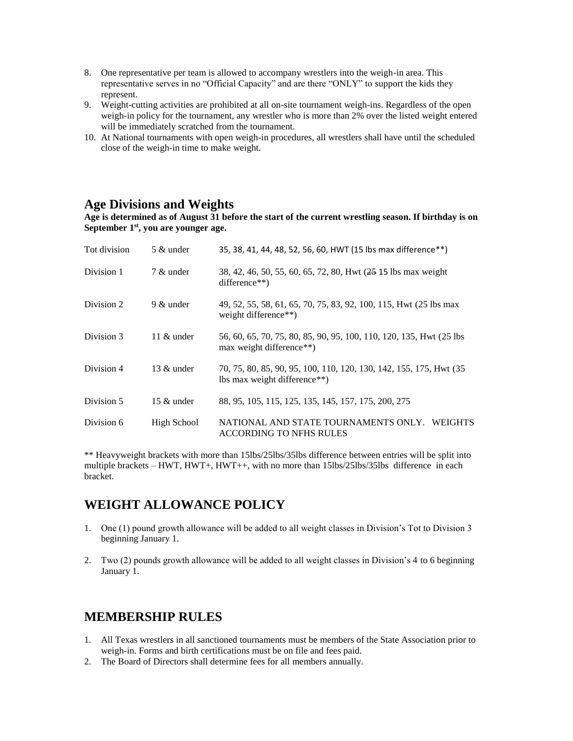- 8. One representative per team is allowed to accompany wrestlers into the weigh-in area. This representative serves in no "Official Capacity" and are there "ONLY" to support the kids they represent.
- 9. Weight-cutting activities are prohibited at all on-site tournament weigh-ins. Regardless of the open weigh-in policy for the tournament, any wrestler who is more than 2% over the listed weight entered will be immediately scratched from the tournament.
- 10. At National tournaments with open weigh-in procedures, all wrestlers shall have until the scheduled close of the weigh-in time to make weight.

### **Age Divisions and Weights**

**Age is determined as of August 31 before the start of the current wrestling season. If birthday is on September 1st, you are younger age.**

| Tot division | 5 & under     | 35, 38, 41, 44, 48, 52, 56, 60, HWT (15 lbs max difference**)                                      |  |  |  |
|--------------|---------------|----------------------------------------------------------------------------------------------------|--|--|--|
| Division 1   | 7 & under     | 38, 42, 46, 50, 55, 60, 65, 72, 80, Hwt (25 15 lbs max weight)<br>difference**)                    |  |  |  |
| Division 2   | $9 \&$ under  | 49, 52, 55, 58, 61, 65, 70, 75, 83, 92, 100, 115, Hwt (25 lbs max<br>weight difference**)          |  |  |  |
| Division 3   | 11 $\&$ under | 56, 60, 65, 70, 75, 80, 85, 90, 95, 100, 110, 120, 135, Hwt (25 lbs)<br>max weight difference**)   |  |  |  |
| Division 4   | $13 \&$ under | 70, 75, 80, 85, 90, 95, 100, 110, 120, 130, 142, 155, 175, Hwt (35<br>lbs max weight difference**) |  |  |  |
| Division 5   | 15 $&$ under  | 88, 95, 105, 115, 125, 135, 145, 157, 175, 200, 275                                                |  |  |  |
| Division 6   | High School   | NATIONAL AND STATE TOURNAMENTS ONLY. WEIGHTS<br><b>ACCORDING TO NFHS RULES</b>                     |  |  |  |

\*\* Heavyweight brackets with more than 15lbs/25lbs/35lbs difference between entries will be split into multiple brackets – HWT, HWT+, HWT++, with no more than 15lbs/25lbs/35lbs difference in each bracket.

## **WEIGHT ALLOWANCE POLICY**

- 1. One (1) pound growth allowance will be added to all weight classes in Division's Tot to Division 3 beginning January 1.
- 2. Two (2) pounds growth allowance will be added to all weight classes in Division's 4 to 6 beginning January 1.

## **MEMBERSHIP RULES**

- 1. All Texas wrestlers in all sanctioned tournaments must be members of the State Association prior to weigh-in. Forms and birth certifications must be on file and fees paid.
- 2. The Board of Directors shall determine fees for all members annually.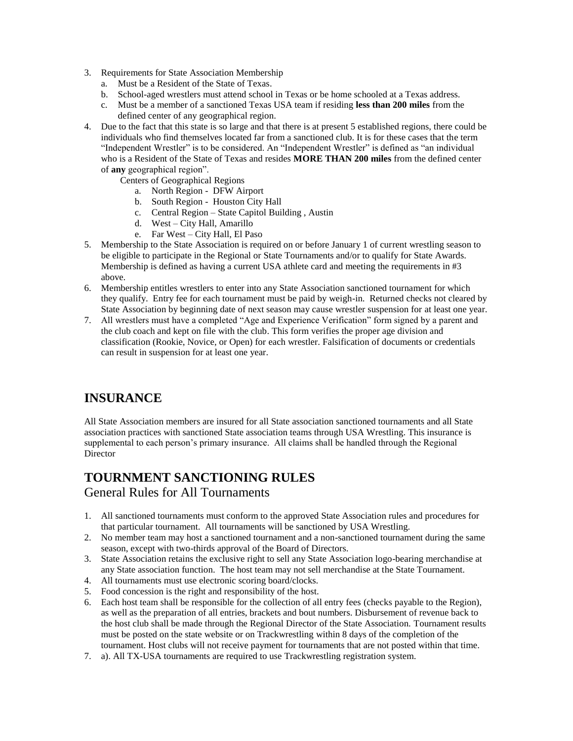- 3. Requirements for State Association Membership
	- a. Must be a Resident of the State of Texas.
	- b. School-aged wrestlers must attend school in Texas or be home schooled at a Texas address.
	- c. Must be a member of a sanctioned Texas USA team if residing **less than 200 miles** from the defined center of any geographical region.
- 4. Due to the fact that this state is so large and that there is at present 5 established regions, there could be individuals who find themselves located far from a sanctioned club. It is for these cases that the term "Independent Wrestler" is to be considered. An "Independent Wrestler" is defined as "an individual who is a Resident of the State of Texas and resides **MORE THAN 200 miles** from the defined center of **any** geographical region".
	- Centers of Geographical Regions
		- a. North Region DFW Airport
		- b. South Region Houston City Hall
		- c. Central Region State Capitol Building , Austin
		- d. West City Hall, Amarillo
		- e. Far West City Hall, El Paso
- 5. Membership to the State Association is required on or before January 1 of current wrestling season to be eligible to participate in the Regional or State Tournaments and/or to qualify for State Awards. Membership is defined as having a current USA athlete card and meeting the requirements in #3 above.
- 6. Membership entitles wrestlers to enter into any State Association sanctioned tournament for which they qualify. Entry fee for each tournament must be paid by weigh-in. Returned checks not cleared by State Association by beginning date of next season may cause wrestler suspension for at least one year.
- 7. All wrestlers must have a completed "Age and Experience Verification" form signed by a parent and the club coach and kept on file with the club. This form verifies the proper age division and classification (Rookie, Novice, or Open) for each wrestler. Falsification of documents or credentials can result in suspension for at least one year.

# **INSURANCE**

All State Association members are insured for all State association sanctioned tournaments and all State association practices with sanctioned State association teams through USA Wrestling. This insurance is supplemental to each person's primary insurance. All claims shall be handled through the Regional **Director** 

### **TOURNMENT SANCTIONING RULES** General Rules for All Tournaments

- 1. All sanctioned tournaments must conform to the approved State Association rules and procedures for that particular tournament. All tournaments will be sanctioned by USA Wrestling.
- 2. No member team may host a sanctioned tournament and a non-sanctioned tournament during the same season, except with two-thirds approval of the Board of Directors.
- 3. State Association retains the exclusive right to sell any State Association logo-bearing merchandise at any State association function. The host team may not sell merchandise at the State Tournament.
- 4. All tournaments must use electronic scoring board/clocks.
- 5. Food concession is the right and responsibility of the host.
- 6. Each host team shall be responsible for the collection of all entry fees (checks payable to the Region), as well as the preparation of all entries, brackets and bout numbers. Disbursement of revenue back to the host club shall be made through the Regional Director of the State Association. Tournament results must be posted on the state website or on Trackwrestling within 8 days of the completion of the tournament. Host clubs will not receive payment for tournaments that are not posted within that time.
- 7. a). All TX-USA tournaments are required to use Trackwrestling registration system.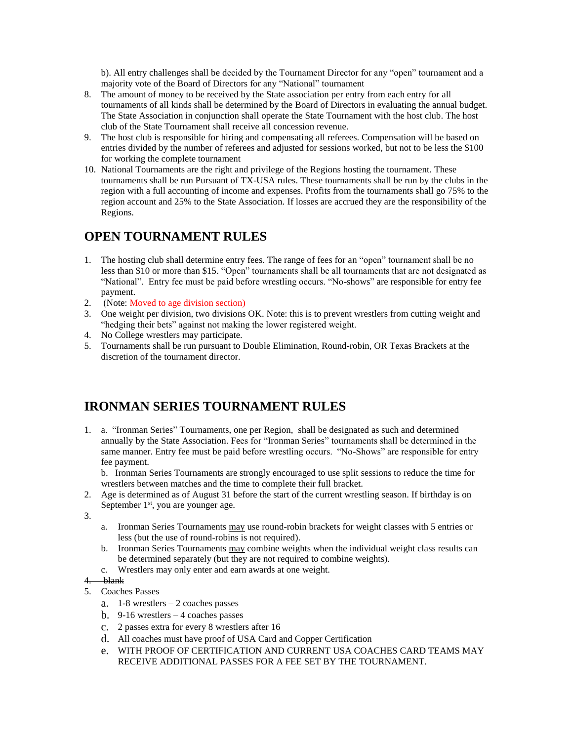b). All entry challenges shall be decided by the Tournament Director for any "open" tournament and a majority vote of the Board of Directors for any "National" tournament

- 8. The amount of money to be received by the State association per entry from each entry for all tournaments of all kinds shall be determined by the Board of Directors in evaluating the annual budget. The State Association in conjunction shall operate the State Tournament with the host club. The host club of the State Tournament shall receive all concession revenue.
- 9. The host club is responsible for hiring and compensating all referees. Compensation will be based on entries divided by the number of referees and adjusted for sessions worked, but not to be less the \$100 for working the complete tournament
- 10. National Tournaments are the right and privilege of the Regions hosting the tournament. These tournaments shall be run Pursuant of TX-USA rules. These tournaments shall be run by the clubs in the region with a full accounting of income and expenses. Profits from the tournaments shall go 75% to the region account and 25% to the State Association. If losses are accrued they are the responsibility of the Regions.

# **OPEN TOURNAMENT RULES**

- 1. The hosting club shall determine entry fees. The range of fees for an "open" tournament shall be no less than \$10 or more than \$15. "Open" tournaments shall be all tournaments that are not designated as "National". Entry fee must be paid before wrestling occurs. "No-shows" are responsible for entry fee payment.
- 2. (Note: Moved to age division section)
- 3. One weight per division, two divisions OK. Note: this is to prevent wrestlers from cutting weight and "hedging their bets" against not making the lower registered weight.
- 4. No College wrestlers may participate.
- 5. Tournaments shall be run pursuant to Double Elimination, Round-robin, OR Texas Brackets at the discretion of the tournament director.

# **IRONMAN SERIES TOURNAMENT RULES**

- 1. a. "Ironman Series" Tournaments, one per Region, shall be designated as such and determined annually by the State Association. Fees for "Ironman Series" tournaments shall be determined in the same manner. Entry fee must be paid before wrestling occurs. "No-Shows" are responsible for entry fee payment.
	- b. Ironman Series Tournaments are strongly encouraged to use split sessions to reduce the time for wrestlers between matches and the time to complete their full bracket.
- 2. Age is determined as of August 31 before the start of the current wrestling season. If birthday is on September  $1<sup>st</sup>$ , you are younger age.
- 3.
- a. Ironman Series Tournaments may use round-robin brackets for weight classes with 5 entries or less (but the use of round-robins is not required).
- b. Ironman Series Tournaments may combine weights when the individual weight class results can be determined separately (but they are not required to combine weights).
- c. Wrestlers may only enter and earn awards at one weight.

#### 4. blank

- 5. Coaches Passes
	- a. 1-8 wrestlers 2 coaches passes
	- b. 9-16 wrestlers 4 coaches passes
	- c. 2 passes extra for every 8 wrestlers after 16
	- d. All coaches must have proof of USA Card and Copper Certification
	- e. WITH PROOF OF CERTIFICATION AND CURRENT USA COACHES CARD TEAMS MAY RECEIVE ADDITIONAL PASSES FOR A FEE SET BY THE TOURNAMENT.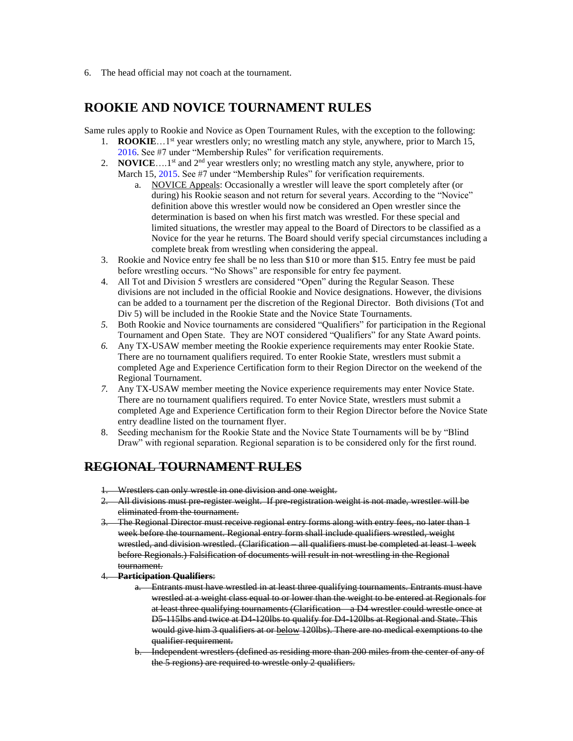6. The head official may not coach at the tournament.

# **ROOKIE AND NOVICE TOURNAMENT RULES**

Same rules apply to Rookie and Novice as Open Tournament Rules, with the exception to the following:

- 1. **ROOKIE**...1<sup>st</sup> year wrestlers only; no wrestling match any style, anywhere, prior to March 15, 2016. See #7 under "Membership Rules" for verification requirements.
- 2. **NOVICE**....1<sup>st</sup> and  $2<sup>nd</sup>$  year wrestlers only; no wrestling match any style, anywhere, prior to March 15, 2015. See #7 under "Membership Rules" for verification requirements.
	- a. NOVICE Appeals: Occasionally a wrestler will leave the sport completely after (or during) his Rookie season and not return for several years. According to the "Novice" definition above this wrestler would now be considered an Open wrestler since the determination is based on when his first match was wrestled. For these special and limited situations, the wrestler may appeal to the Board of Directors to be classified as a Novice for the year he returns. The Board should verify special circumstances including a complete break from wrestling when considering the appeal.
- 3. Rookie and Novice entry fee shall be no less than \$10 or more than \$15. Entry fee must be paid before wrestling occurs. "No Shows" are responsible for entry fee payment.
- 4. All Tot and Division 5 wrestlers are considered "Open" during the Regular Season. These divisions are not included in the official Rookie and Novice designations. However, the divisions can be added to a tournament per the discretion of the Regional Director. Both divisions (Tot and Div 5) will be included in the Rookie State and the Novice State Tournaments.
- *5.* Both Rookie and Novice tournaments are considered "Qualifiers" for participation in the Regional Tournament and Open State. They are NOT considered "Qualifiers" for any State Award points.
- *6.* Any TX-USAW member meeting the Rookie experience requirements may enter Rookie State. There are no tournament qualifiers required. To enter Rookie State, wrestlers must submit a completed Age and Experience Certification form to their Region Director on the weekend of the Regional Tournament.
- *7.* Any TX-USAW member meeting the Novice experience requirements may enter Novice State. There are no tournament qualifiers required. To enter Novice State, wrestlers must submit a completed Age and Experience Certification form to their Region Director before the Novice State entry deadline listed on the tournament flyer.
- 8. Seeding mechanism for the Rookie State and the Novice State Tournaments will be by "Blind Draw" with regional separation. Regional separation is to be considered only for the first round.

## **REGIONAL TOURNAMENT RULES**

- 1. Wrestlers can only wrestle in one division and one weight.
- 2. All divisions must pre-register weight. If pre-registration weight is not made, wrestler will be eliminated from the tournament.
- 3. The Regional Director must receive regional entry forms along with entry fees, no later than 1 week before the tournament. Regional entry form shall include qualifiers wrestled, weight wrestled, and division wrestled. (Clarification – all qualifiers must be completed at least 1 week before Regionals.) Falsification of documents will result in not wrestling in the Regional tournament.
- 4. **Participation Qualifiers**:
	- a. Entrants must have wrestled in at least three qualifying tournaments. Entrants must have wrestled at a weight class equal to or lower than the weight to be entered at Regionals for at least three qualifying tournaments (Clarification – a D4 wrestler could wrestle once at D5-115lbs and twice at D4-120lbs to qualify for D4-120lbs at Regional and State. This would give him 3 qualifiers at or below 120lbs). There are no medical exemptions to the qualifier requirement.
	- b. Independent wrestlers (defined as residing more than 200 miles from the center of any of the 5 regions) are required to wrestle only 2 qualifiers.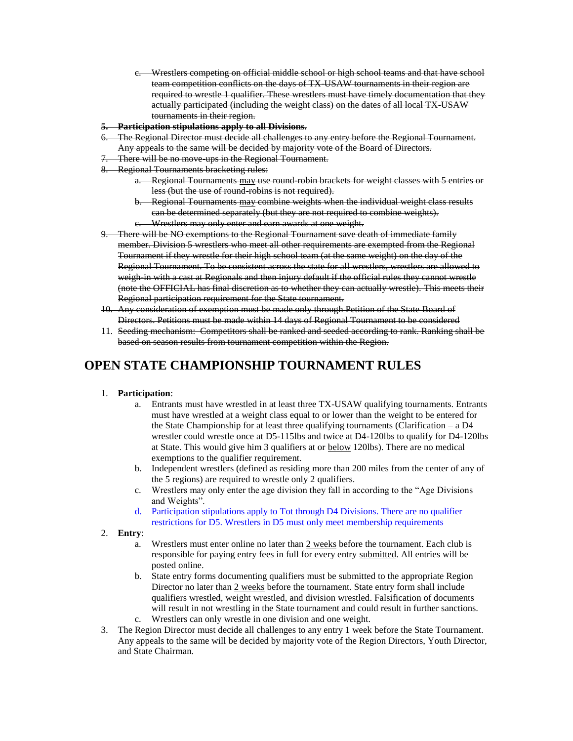- c. Wrestlers competing on official middle school or high school teams and that have school team competition conflicts on the days of TX-USAW tournaments in their region are required to wrestle 1 qualifier. These wrestlers must have timely documentation that they actually participated (including the weight class) on the dates of all local TX-USAW tournaments in their region.
- **5. Participation stipulations apply to all Divisions.**
- 6. The Regional Director must decide all challenges to any entry before the Regional Tournament. Any appeals to the same will be decided by majority vote of the Board of Directors.
- There will be no move ups in the Regional Tournament.
- 8. Regional Tournaments bracketing rules:
	- a. Regional Tournaments may use round-robin brackets for weight classes with 5 entries or less (but the use of round-robins is not required).
	- b. Regional Tournaments may combine weights when the individual weight class results can be determined separately (but they are not required to combine weights).
	- c. Wrestlers may only enter and earn awards at one weight.
- 9. There will be NO exemptions to the Regional Tournament save death of immediate family member. Division 5 wrestlers who meet all other requirements are exempted from the Regional Tournament if they wrestle for their high school team (at the same weight) on the day of the Regional Tournament. To be consistent across the state for all wrestlers, wrestlers are allowed to weigh-in with a cast at Regionals and then injury default if the official rules they cannot wrestle (note the OFFICIAL has final discretion as to whether they can actually wrestle). This meets their Regional participation requirement for the State tournament.
- 10. Any consideration of exemption must be made only through Petition of the State Board of Directors. Petitions must be made within 14 days of Regional Tournament to be considered
- 11. Seeding mechanism: Competitors shall be ranked and seeded according to rank. Ranking shall be based on season results from tournament competition within the Region.

# **OPEN STATE CHAMPIONSHIP TOURNAMENT RULES**

#### 1. **Participation**:

- a. Entrants must have wrestled in at least three TX-USAW qualifying tournaments. Entrants must have wrestled at a weight class equal to or lower than the weight to be entered for the State Championship for at least three qualifying tournaments (Clarification – a D4 wrestler could wrestle once at D5-115lbs and twice at D4-120lbs to qualify for D4-120lbs at State. This would give him 3 qualifiers at or below 120lbs). There are no medical exemptions to the qualifier requirement.
- b. Independent wrestlers (defined as residing more than 200 miles from the center of any of the 5 regions) are required to wrestle only 2 qualifiers.
- c. Wrestlers may only enter the age division they fall in according to the "Age Divisions and Weights".
- d. Participation stipulations apply to Tot through D4 Divisions. There are no qualifier restrictions for D5. Wrestlers in D5 must only meet membership requirements

#### 2. **Entry**:

- a. Wrestlers must enter online no later than  $2$  weeks before the tournament. Each club is responsible for paying entry fees in full for every entry submitted. All entries will be posted online.
- b. State entry forms documenting qualifiers must be submitted to the appropriate Region Director no later than  $2$  weeks before the tournament. State entry form shall include qualifiers wrestled, weight wrestled, and division wrestled. Falsification of documents will result in not wrestling in the State tournament and could result in further sanctions. c. Wrestlers can only wrestle in one division and one weight.
- 3. The Region Director must decide all challenges to any entry 1 week before the State Tournament. Any appeals to the same will be decided by majority vote of the Region Directors, Youth Director, and State Chairman.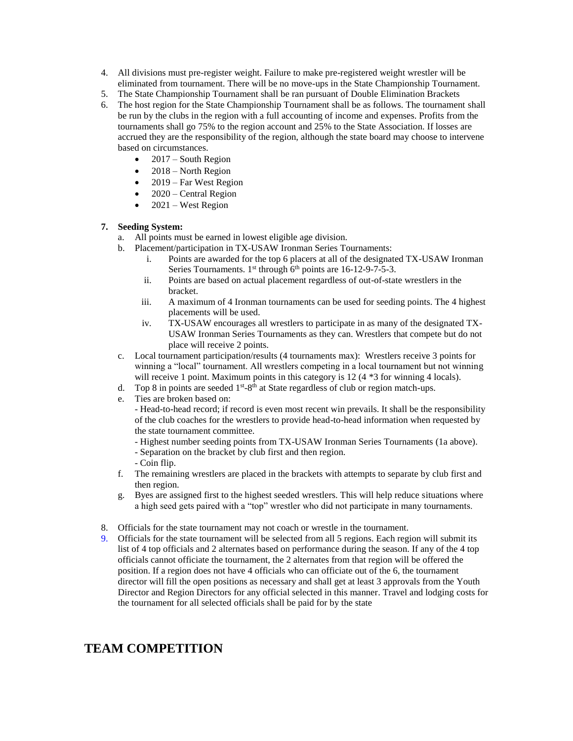- 4. All divisions must pre-register weight. Failure to make pre-registered weight wrestler will be eliminated from tournament. There will be no move-ups in the State Championship Tournament.
- 5. The State Championship Tournament shall be ran pursuant of Double Elimination Brackets
- 6. The host region for the State Championship Tournament shall be as follows. The tournament shall be run by the clubs in the region with a full accounting of income and expenses. Profits from the tournaments shall go 75% to the region account and 25% to the State Association. If losses are accrued they are the responsibility of the region, although the state board may choose to intervene based on circumstances.
	- $\bullet$  2017 South Region
	- $\bullet$  2018 North Region
	- $\bullet$  2019 Far West Region
	- $\bullet$  2020 Central Region
	- $\bullet$  2021 West Region

#### **7. Seeding System:**

- a. All points must be earned in lowest eligible age division.
- b. Placement/participation in TX-USAW Ironman Series Tournaments:
	- i. Points are awarded for the top 6 placers at all of the designated TX-USAW Ironman Series Tournaments. 1<sup>st</sup> through 6<sup>th</sup> points are 16-12-9-7-5-3.
	- ii. Points are based on actual placement regardless of out-of-state wrestlers in the bracket.
	- iii. A maximum of 4 Ironman tournaments can be used for seeding points. The 4 highest placements will be used.
	- iv. TX-USAW encourages all wrestlers to participate in as many of the designated TX-USAW Ironman Series Tournaments as they can. Wrestlers that compete but do not place will receive 2 points.
- c. Local tournament participation/results (4 tournaments max): Wrestlers receive 3 points for winning a "local" tournament. All wrestlers competing in a local tournament but not winning will receive 1 point. Maximum points in this category is 12 (4  $*$ 3 for winning 4 locals).
- d. Top 8 in points are seeded  $1<sup>st</sup>-8<sup>th</sup>$  at State regardless of club or region match-ups.
- e. Ties are broken based on:

- Head-to-head record; if record is even most recent win prevails. It shall be the responsibility of the club coaches for the wrestlers to provide head-to-head information when requested by the state tournament committee.

- Highest number seeding points from TX-USAW Ironman Series Tournaments (1a above).
- Separation on the bracket by club first and then region.
- Coin flip.
- f. The remaining wrestlers are placed in the brackets with attempts to separate by club first and then region.
- g. Byes are assigned first to the highest seeded wrestlers. This will help reduce situations where a high seed gets paired with a "top" wrestler who did not participate in many tournaments.
- 8. Officials for the state tournament may not coach or wrestle in the tournament.
- 9. Officials for the state tournament will be selected from all 5 regions. Each region will submit its list of 4 top officials and 2 alternates based on performance during the season. If any of the 4 top officials cannot officiate the tournament, the 2 alternates from that region will be offered the position. If a region does not have 4 officials who can officiate out of the 6, the tournament director will fill the open positions as necessary and shall get at least 3 approvals from the Youth Director and Region Directors for any official selected in this manner. Travel and lodging costs for the tournament for all selected officials shall be paid for by the state

# **TEAM COMPETITION**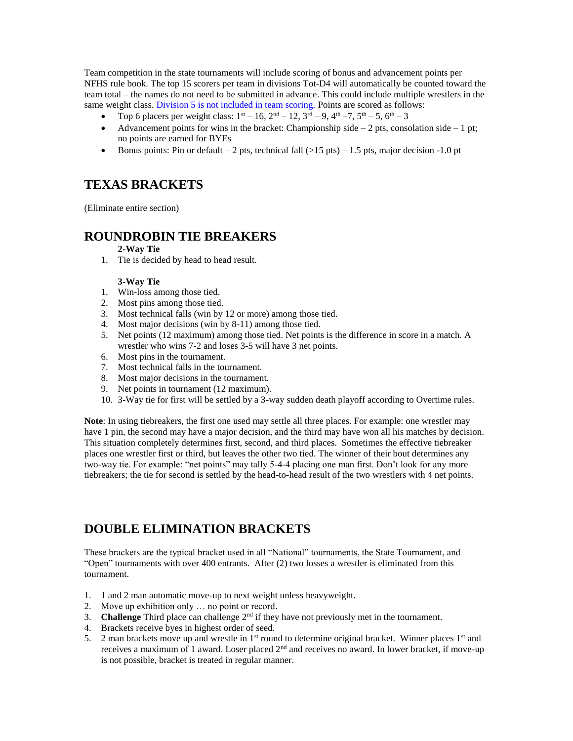Team competition in the state tournaments will include scoring of bonus and advancement points per NFHS rule book. The top 15 scorers per team in divisions Tot-D4 will automatically be counted toward the team total – the names do not need to be submitted in advance. This could include multiple wrestlers in the same weight class. Division 5 is not included in team scoring. Points are scored as follows:

- Top 6 placers per weight class:  $1^{st} 16$ ,  $2^{nd} 12$ ,  $3^{rd} 9$ ,  $4^{th} 7$ ,  $5^{th} 5$ ,  $6^{th} 3$
- Advancement points for wins in the bracket: Championship side  $-2$  pts, consolation side  $-1$  pt; no points are earned for BYEs
- Bonus points: Pin or default 2 pts, technical fall  $(>15 \text{ pts}) 1.5 \text{ pts}, \text{major decision -1.0 pt}$

# **TEXAS BRACKETS**

(Eliminate entire section)

#### **ROUNDROBIN TIE BREAKERS**

#### **2-Way Tie**

1. Tie is decided by head to head result.

#### **3-Way Tie**

- 1. Win-loss among those tied.
- 2. Most pins among those tied.
- 3. Most technical falls (win by 12 or more) among those tied.
- 4. Most major decisions (win by 8-11) among those tied.
- 5. Net points (12 maximum) among those tied. Net points is the difference in score in a match. A wrestler who wins 7-2 and loses 3-5 will have 3 net points.
- 6. Most pins in the tournament.
- 7. Most technical falls in the tournament.
- 8. Most major decisions in the tournament.
- 9. Net points in tournament (12 maximum).
- 10. 3-Way tie for first will be settled by a 3-way sudden death playoff according to Overtime rules.

**Note**: In using tiebreakers, the first one used may settle all three places. For example: one wrestler may have 1 pin, the second may have a major decision, and the third may have won all his matches by decision. This situation completely determines first, second, and third places. Sometimes the effective tiebreaker places one wrestler first or third, but leaves the other two tied. The winner of their bout determines any two-way tie. For example: "net points" may tally 5-4-4 placing one man first. Don't look for any more tiebreakers; the tie for second is settled by the head-to-head result of the two wrestlers with 4 net points.

# **DOUBLE ELIMINATION BRACKETS**

These brackets are the typical bracket used in all "National" tournaments, the State Tournament, and "Open" tournaments with over 400 entrants. After (2) two losses a wrestler is eliminated from this tournament.

- 1. 1 and 2 man automatic move-up to next weight unless heavyweight.
- 2. Move up exhibition only … no point or record.
- 3. **Challenge** Third place can challenge  $2<sup>nd</sup>$  if they have not previously met in the tournament.
- 4. Brackets receive byes in highest order of seed.
- 5. 2 man brackets move up and wrestle in 1<sup>st</sup> round to determine original bracket. Winner places 1<sup>st</sup> and receives a maximum of 1 award. Loser placed  $2<sup>nd</sup>$  and receives no award. In lower bracket, if move-up is not possible, bracket is treated in regular manner.